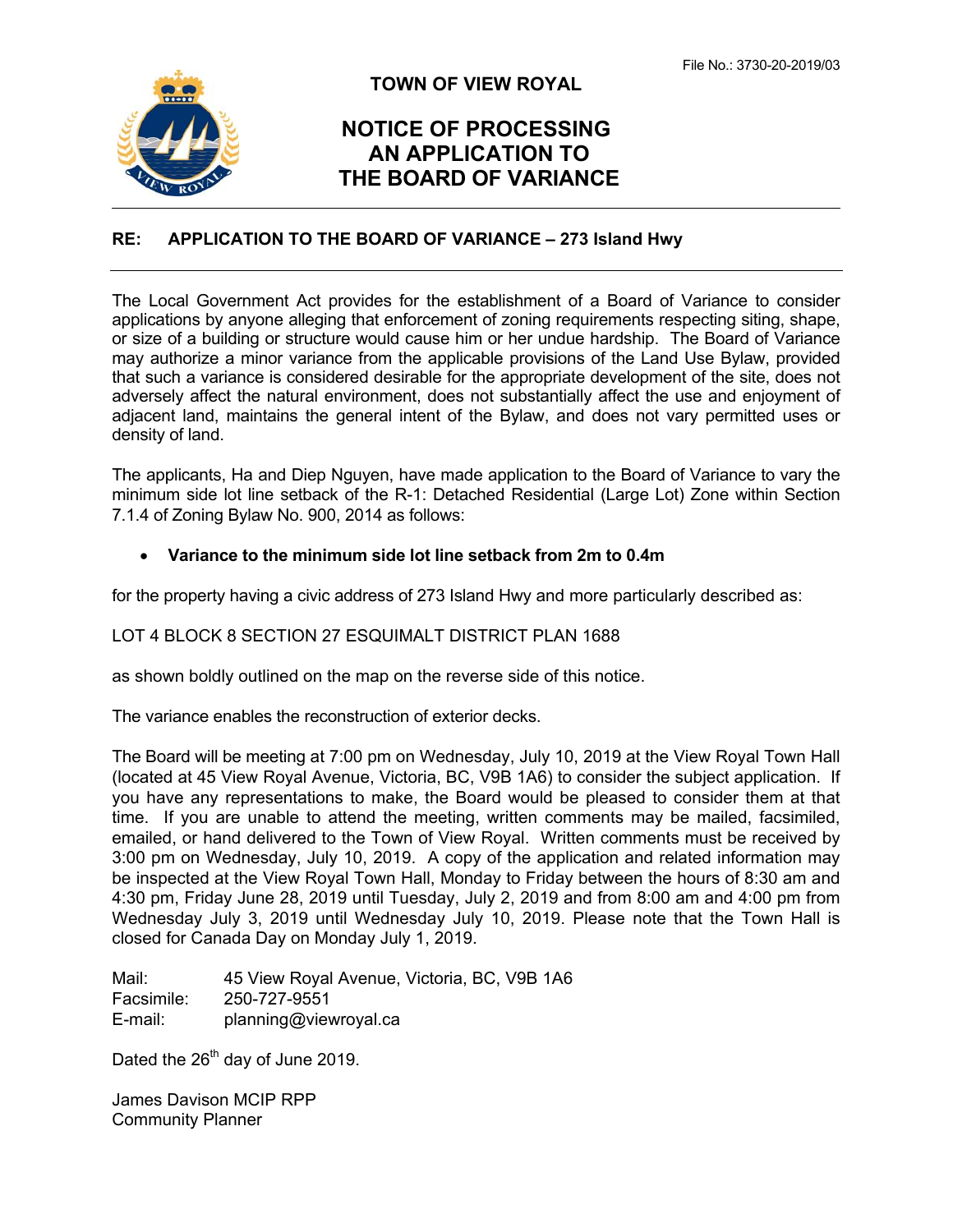

## **TOWN OF VIEW ROYAL**

# **NOTICE OF PROCESSING AN APPLICATION TO THE BOARD OF VARIANCE**

### **RE: APPLICATION TO THE BOARD OF VARIANCE – 273 Island Hwy**

The Local Government Act provides for the establishment of a Board of Variance to consider applications by anyone alleging that enforcement of zoning requirements respecting siting, shape, or size of a building or structure would cause him or her undue hardship. The Board of Variance may authorize a minor variance from the applicable provisions of the Land Use Bylaw, provided that such a variance is considered desirable for the appropriate development of the site, does not adversely affect the natural environment, does not substantially affect the use and enjoyment of adjacent land, maintains the general intent of the Bylaw, and does not vary permitted uses or density of land.

The applicants, Ha and Diep Nguyen, have made application to the Board of Variance to vary the minimum side lot line setback of the R-1: Detached Residential (Large Lot) Zone within Section 7.1.4 of Zoning Bylaw No. 900, 2014 as follows:

#### **Variance to the minimum side lot line setback from 2m to 0.4m**

for the property having a civic address of 273 Island Hwy and more particularly described as:

#### LOT 4 BLOCK 8 SECTION 27 ESQUIMALT DISTRICT PLAN 1688

as shown boldly outlined on the map on the reverse side of this notice.

The variance enables the reconstruction of exterior decks.

The Board will be meeting at 7:00 pm on Wednesday, July 10, 2019 at the View Royal Town Hall (located at 45 View Royal Avenue, Victoria, BC, V9B 1A6) to consider the subject application. If you have any representations to make, the Board would be pleased to consider them at that time. If you are unable to attend the meeting, written comments may be mailed, facsimiled, emailed, or hand delivered to the Town of View Royal. Written comments must be received by 3:00 pm on Wednesday, July 10, 2019. A copy of the application and related information may be inspected at the View Royal Town Hall, Monday to Friday between the hours of 8:30 am and 4:30 pm, Friday June 28, 2019 until Tuesday, July 2, 2019 and from 8:00 am and 4:00 pm from Wednesday July 3, 2019 until Wednesday July 10, 2019. Please note that the Town Hall is closed for Canada Day on Monday July 1, 2019.

Mail: 45 View Royal Avenue, Victoria, BC, V9B 1A6 Facsimile: 250-727-9551 E-mail: planning@viewroyal.ca

Dated the 26<sup>th</sup> day of June 2019.

James Davison MCIP RPP Community Planner